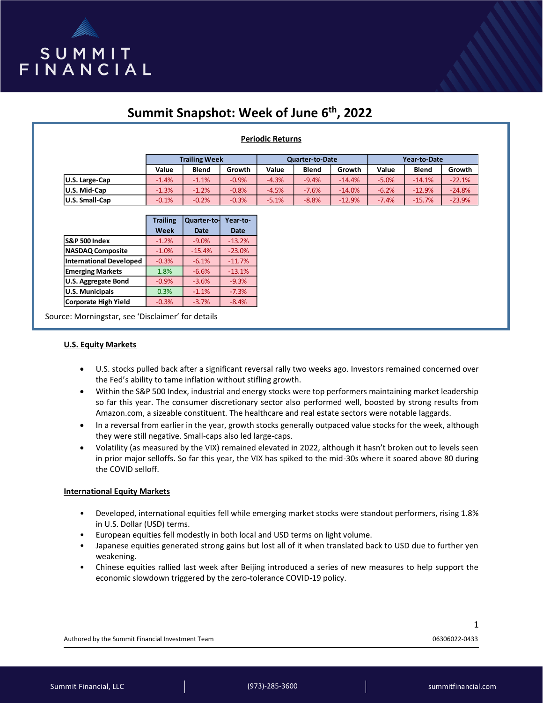

# **Summit Snapshot: Week of June 6th, 2022**

# **Periodic Returns**

|                       | <b>Trailing Week</b> |              |         | Quarter-to-Date |              |          | Year-to-Date |              |          |
|-----------------------|----------------------|--------------|---------|-----------------|--------------|----------|--------------|--------------|----------|
|                       | Value                | <b>Blend</b> | Growth  | Value           | <b>Blend</b> | Growth   | Value        | <b>Blend</b> | Growth   |
| U.S. Large-Cap        | $-1.4%$              | $-1.1%$      | $-0.9%$ | $-4.3%$         | $-9.4%$      | $-14.4%$ | $-5.0%$      | $-14.1%$     | $-22.1%$ |
| U.S. Mid-Cap          | $-1.3%$              | $-1.2%$      | $-0.8%$ | $-4.5%$         | $-7.6%$      | $-14.0%$ | $-6.2%$      | $-12.9%$     | $-24.8%$ |
| <b>U.S. Small-Cap</b> | $-0.1%$              | $-0.2%$      | $-0.3%$ | $-5.1%$         | $-8.8%$      | $-12.9%$ | $-7.4%$      | $-15.7%$     | $-23.9%$ |

|                                | <b>Trailing</b> | Quarter-to- | Year-to-    |
|--------------------------------|-----------------|-------------|-------------|
|                                | Week            | <b>Date</b> | <b>Date</b> |
| <b>S&amp;P 500 Index</b>       | $-1.2%$         | $-9.0%$     | $-13.2%$    |
| <b>NASDAQ Composite</b>        | $-1.0%$         | $-15.4%$    | $-23.0%$    |
| <b>International Developed</b> | $-0.3%$         | $-6.1%$     | $-11.7%$    |
| <b>Emerging Markets</b>        | 1.8%            | $-6.6%$     | $-13.1%$    |
| <b>U.S. Aggregate Bond</b>     | $-0.9%$         | $-3.6%$     | $-9.3%$     |
| <b>U.S. Municipals</b>         | 0.3%            | $-1.1%$     | $-7.3%$     |
| <b>Corporate High Yield</b>    | $-0.3%$         | $-3.7%$     | $-8.4%$     |

Source: Morningstar, see 'Disclaimer' for details

### **U.S. Equity Markets**

- U.S. stocks pulled back after a significant reversal rally two weeks ago. Investors remained concerned over the Fed's ability to tame inflation without stifling growth.
- Within the S&P 500 Index, industrial and energy stocks were top performers maintaining market leadership so far this year. The consumer discretionary sector also performed well, boosted by strong results from Amazon.com, a sizeable constituent. The healthcare and real estate sectors were notable laggards.
- In a reversal from earlier in the year, growth stocks generally outpaced value stocks for the week, although they were still negative. Small-caps also led large-caps.
- Volatility (as measured by the VIX) remained elevated in 2022, although it hasn't broken out to levels seen in prior major selloffs. So far this year, the VIX has spiked to the mid-30s where it soared above 80 during the COVID selloff.

## **International Equity Markets**

- Developed, international equities fell while emerging market stocks were standout performers, rising 1.8% in U.S. Dollar (USD) terms.
- European equities fell modestly in both local and USD terms on light volume.
- Japanese equities generated strong gains but lost all of it when translated back to USD due to further yen weakening.
- Chinese equities rallied last week after Beijing introduced a series of new measures to help support the economic slowdown triggered by the zero-tolerance COVID-19 policy.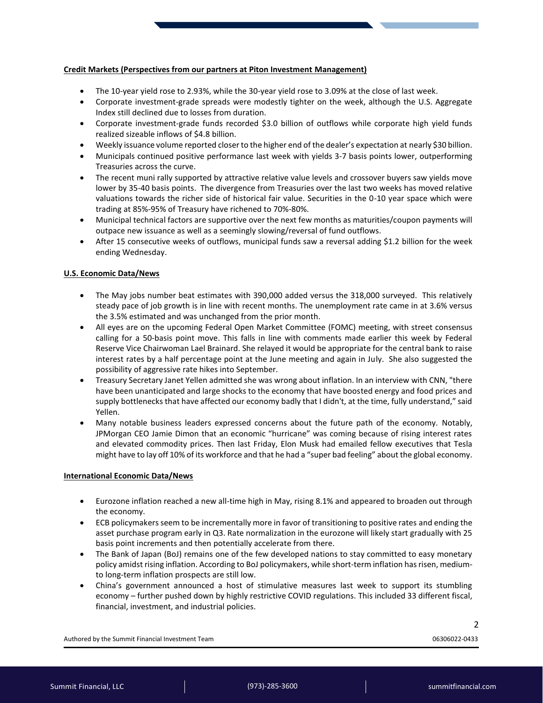# **Credit Markets (Perspectives from our partners at Piton Investment Management)**

- The 10-year yield rose to 2.93%, while the 30-year yield rose to 3.09% at the close of last week.
- Corporate investment-grade spreads were modestly tighter on the week, although the U.S. Aggregate Index still declined due to losses from duration.
- Corporate investment-grade funds recorded \$3.0 billion of outflows while corporate high yield funds realized sizeable inflows of \$4.8 billion.
- Weekly issuance volume reported closer to the higher end of the dealer's expectation at nearly \$30 billion.
- Municipals continued positive performance last week with yields 3-7 basis points lower, outperforming Treasuries across the curve.
- The recent muni rally supported by attractive relative value levels and crossover buyers saw yields move lower by 35-40 basis points. The divergence from Treasuries over the last two weeks has moved relative valuations towards the richer side of historical fair value. Securities in the 0-10 year space which were trading at 85%-95% of Treasury have richened to 70%-80%.
- Municipal technical factors are supportive over the next few months as maturities/coupon payments will outpace new issuance as well as a seemingly slowing/reversal of fund outflows.
- After 15 consecutive weeks of outflows, municipal funds saw a reversal adding \$1.2 billion for the week ending Wednesday.

# **U.S. Economic Data/News**

- The May jobs number beat estimates with 390,000 added versus the 318,000 surveyed. This relatively steady pace of job growth is in line with recent months. The unemployment rate came in at 3.6% versus the 3.5% estimated and was unchanged from the prior month.
- All eyes are on the upcoming Federal Open Market Committee (FOMC) meeting, with street consensus calling for a 50-basis point move. This falls in line with comments made earlier this week by Federal Reserve Vice Chairwoman Lael Brainard. She relayed it would be appropriate for the central bank to raise interest rates by a half percentage point at the June meeting and again in July. She also suggested the possibility of aggressive rate hikes into September.
- Treasury Secretary Janet Yellen admitted she was wrong about inflation. In an interview with CNN, "there have been unanticipated and large shocks to the economy that have boosted energy and food prices and supply bottlenecks that have affected our economy badly that I didn't, at the time, fully understand," said Yellen.
- Many notable business leaders expressed concerns about the future path of the economy. Notably, JPMorgan CEO Jamie Dimon that an economic "hurricane" was coming because of rising interest rates and elevated commodity prices. Then last Friday, Elon Musk had emailed fellow executives that Tesla might have to lay off 10% of its workforce and that he had a "super bad feeling" about the global economy.

## **International Economic Data/News**

- Eurozone inflation reached a new all-time high in May, rising 8.1% and appeared to broaden out through the economy.
- ECB policymakers seem to be incrementally more in favor of transitioning to positive rates and ending the asset purchase program early in Q3. Rate normalization in the eurozone will likely start gradually with 25 basis point increments and then potentially accelerate from there.
- The Bank of Japan (BoJ) remains one of the few developed nations to stay committed to easy monetary policy amidst rising inflation. According to BoJ policymakers, while short-term inflation has risen, mediumto long-term inflation prospects are still low.
- China's government announced a host of stimulative measures last week to support its stumbling economy – further pushed down by highly restrictive COVID regulations. This included 33 different fiscal, financial, investment, and industrial policies.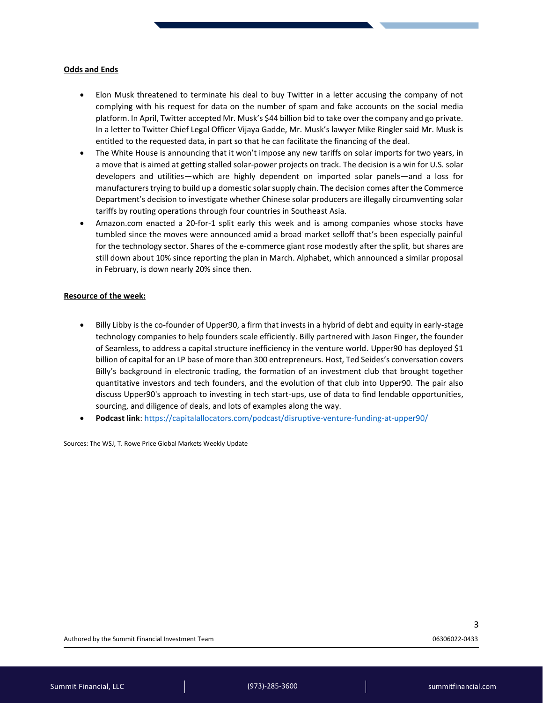### **Odds and Ends**

- Elon Musk threatened to terminate his deal to buy Twitter in a letter accusing the company of not complying with his request for data on the number of spam and fake accounts on the social media platform. In April, Twitter accepted Mr. Musk's \$44 billion bid to take over the company and go private. In a letter to Twitter Chief Legal Officer Vijaya Gadde, Mr. Musk's lawyer Mike Ringler said Mr. Musk is entitled to the requested data, in part so that he can facilitate the financing of the deal.
- The White House is announcing that it won't impose any new tariffs on solar imports for two years, in a move that is aimed at getting stalled solar-power projects on track. The decision is a win for U.S. solar developers and utilities—which are highly dependent on imported solar panels—and a loss for manufacturers trying to build up a domestic solar supply chain. The decision comes after the Commerce Department's decision to investigate whether Chinese solar producers are illegally circumventing solar tariffs by routing operations through four countries in Southeast Asia.
- Amazon.com enacted a 20-for-1 split early this week and is among companies whose stocks have tumbled since the moves were announced amid a broad market selloff that's been especially painful for the technology sector. Shares of the e-commerce giant rose modestly after the split, but shares are still down about 10% since reporting the plan in March. Alphabet, which announced a similar proposal in February, is down nearly 20% since then.

### **Resource of the week:**

- Billy Libby is the co-founder of Upper90, a firm that invests in a hybrid of debt and equity in early-stage technology companies to help founders scale efficiently. Billy partnered with Jason Finger, the founder of Seamless, to address a capital structure inefficiency in the venture world. Upper90 has deployed \$1 billion of capital for an LP base of more than 300 entrepreneurs. Host, Ted Seides's conversation covers Billy's background in electronic trading, the formation of an investment club that brought together quantitative investors and tech founders, and the evolution of that club into Upper90. The pair also discuss Upper90's approach to investing in tech start-ups, use of data to find lendable opportunities, sourcing, and diligence of deals, and lots of examples along the way.
- **Podcast link**:<https://capitalallocators.com/podcast/disruptive-venture-funding-at-upper90/>

Sources: The WSJ, T. Rowe Price Global Markets Weekly Update